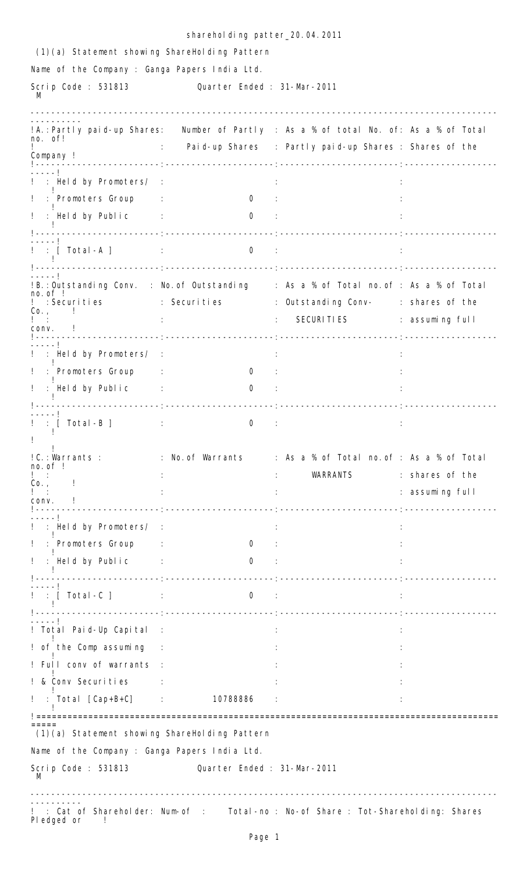|                                               | sharehol ding patter_20.04.2011         |                                                                                       |                 |
|-----------------------------------------------|-----------------------------------------|---------------------------------------------------------------------------------------|-----------------|
| (1)(a) Statement showing ShareHolding Pattern |                                         |                                                                                       |                 |
| Name of the Company : Ganga Papers India Ltd. |                                         |                                                                                       |                 |
| Scrip Code: 531813 Cuarter Ended: 31-Mar-2011 |                                         |                                                                                       |                 |
| -------------------------------               |                                         | !A.:Partly paid-up Shares: Number of Partly : As a % of total No. of: As a % of Total |                 |
| no. of!                                       |                                         | : Paid-up Shares : Partly paid-up Shares : Shares of the                              |                 |
| Company !                                     |                                         |                                                                                       |                 |
| $- - - - 1$<br>! : Held by Promoters/ :       |                                         |                                                                                       |                 |
| ! : Promoters Group :                         | 0:                                      |                                                                                       |                 |
| ! : Held by Public : 0 :                      |                                         |                                                                                       |                 |
|                                               |                                         |                                                                                       |                 |
| ! : [ Total -A ]                              | the control of the control of the<br>0: |                                                                                       |                 |
|                                               |                                         | !B.:Outstanding Conv. : No.of Outstanding ∶ As a % of Total no.of : As a % of Total   |                 |
| no. of.                                       |                                         | : Securities : Securities : Outstanding Conv- : shares of the                         |                 |
| $Co. ,$ $\qquad$                              |                                         | : SECURITIES : assuming full                                                          |                 |
| conv. !                                       |                                         |                                                                                       |                 |
| ! : Held by Promoters/ :                      |                                         |                                                                                       |                 |
| ! : Promoters Group :                         | $\sigma$                                |                                                                                       |                 |
| ! : Held by Public :                          | 0<br>$\sim$ 100 $\pm$                   |                                                                                       |                 |
|                                               |                                         |                                                                                       |                 |
| _ _ _ _ _ I<br>: [ Total -B ]<br>Ţ.           | 0                                       |                                                                                       |                 |
|                                               |                                         |                                                                                       |                 |
| $no. of$ !                                    |                                         | !C.:Warrants : : : No.of Warrants : : As a % of Total no.of : As a % of Total         |                 |
| $Co. ,$ $\qquad$                              |                                         | WARRANTS                                                                              | : shares of the |
| CONV.                                         |                                         |                                                                                       | : assuming full |
|                                               |                                         |                                                                                       |                 |
| : Held by Promoters/ :                        |                                         |                                                                                       |                 |
| ! : Promoters Group :                         | $\overline{0}$                          |                                                                                       |                 |
| ! : Held by Public :                          | $\overline{0}$                          |                                                                                       |                 |
|                                               |                                         |                                                                                       |                 |
| ! : [ Total -C ]               :              | $\mathbf{0}$<br>$\sim 100$              | $\mathcal{L}$                                                                         |                 |
|                                               |                                         |                                                                                       |                 |
| ! Total Paid-Up Capital                       | $\sim 1$                                |                                                                                       |                 |
| ! of the Comp assuming :                      |                                         |                                                                                       |                 |
| ! Full conv of warrants :                     |                                         |                                                                                       |                 |
| ! & Conv Securities<br>$\sim 10^{-10}$ .      |                                         |                                                                                       |                 |
| $!$ : Total [Cap+B+C] : 10788886              |                                         |                                                                                       |                 |
| (1)(a) Statement showing ShareHolding Pattern |                                         |                                                                                       |                 |
| Name of the Company : Ganga Papers India Ltd. |                                         |                                                                                       |                 |
| Scrip Code : 531813                           | Quarter Ended: 31-Mar-2011              |                                                                                       |                 |
|                                               |                                         |                                                                                       |                 |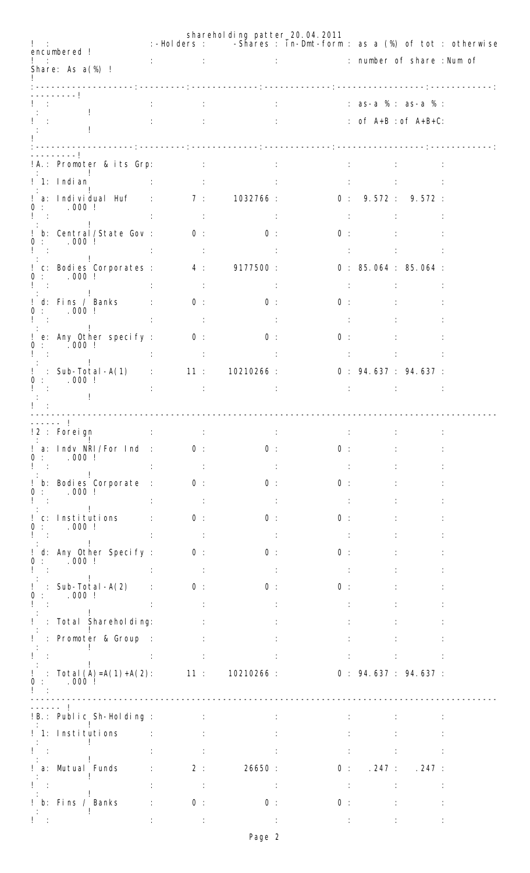|                                                                                    |                         |                          | sharehol ding patter_20.04.2011                                                                                                 | :-Holders : - Shares : in-Dmt-form : as a (%) of tot : otherwise                                                                                                                                                                                  |                                              |                                   |  |
|------------------------------------------------------------------------------------|-------------------------|--------------------------|---------------------------------------------------------------------------------------------------------------------------------|---------------------------------------------------------------------------------------------------------------------------------------------------------------------------------------------------------------------------------------------------|----------------------------------------------|-----------------------------------|--|
| encumbered !                                                                       |                         |                          |                                                                                                                                 |                                                                                                                                                                                                                                                   |                                              |                                   |  |
| Share: As a(%) !                                                                   |                         |                          |                                                                                                                                 |                                                                                                                                                                                                                                                   |                                              |                                   |  |
| -------!                                                                           |                         |                          |                                                                                                                                 |                                                                                                                                                                                                                                                   |                                              |                                   |  |
|                                                                                    |                         |                          |                                                                                                                                 | $: 3S-a$ % $: 3S-a$ % $: 3S-a$ % $: 3S-a$ % $: 3S-a$ % $: 3S-a$ % $: 3S-a$ % $: 3S-a$ % $: 3S-a$ % $: 3S-a$ % $: 3S-a$ % $: 3S-a$ % $: 3S-a$ % $: 3S-a$ % $: 3S-a$ % $: 3S-a$ % $: 3S-a$ % $: 3S-a$ % $: 3S-a$ % $: 3S-a$ % $: 3S-a$ % $: 3S-a$ % |                                              |                                   |  |
|                                                                                    |                         |                          |                                                                                                                                 | $\therefore$ of $A+B : of A+B+C$ :                                                                                                                                                                                                                |                                              |                                   |  |
|                                                                                    |                         |                          |                                                                                                                                 |                                                                                                                                                                                                                                                   |                                              |                                   |  |
| . <b>.</b> 1                                                                       |                         |                          |                                                                                                                                 | <b>Contractor</b>                                                                                                                                                                                                                                 |                                              | <b>The Community</b>              |  |
| $\frac{1}{2}$ 1: Indian $\frac{1}{2}$ : $\frac{1}{2}$ :                            |                         |                          |                                                                                                                                 |                                                                                                                                                                                                                                                   |                                              |                                   |  |
| a: Individual Huf : 7: 1032766 : 0: 9.572 : 9.572 :<br>0: 000!                     |                         |                          |                                                                                                                                 |                                                                                                                                                                                                                                                   |                                              |                                   |  |
| $1 - z$                                                                            | <b>CENTRAL CONTROL</b>  |                          |                                                                                                                                 | - 11                                                                                                                                                                                                                                              |                                              | <b>Section Control of Control</b> |  |
| b: Central/State Gov: 0:<br>0: 000!                                                |                         |                          | $\overline{0}$ :                                                                                                                |                                                                                                                                                                                                                                                   | 0:                                           |                                   |  |
| Íт<br>$\sim 10^{-11}$                                                              |                         | $\sim 10^{11}$ m $^{-1}$ |                                                                                                                                 |                                                                                                                                                                                                                                                   | the property of the control of the con-      |                                   |  |
| ! c: Bodies Corporates : 4 : 9177500 :<br>0: 000!                                  |                         |                          |                                                                                                                                 |                                                                                                                                                                                                                                                   |                                              | 0: 85.064: 85.064:                |  |
| <b>Contract Contract</b>                                                           |                         | $\sim 10$                |                                                                                                                                 |                                                                                                                                                                                                                                                   | <b>Contract Contract Contract Contract</b>   |                                   |  |
| d: Fins / Banks :<br>0: 000!                                                       |                         | 0:                       | $\overline{0}$ :                                                                                                                |                                                                                                                                                                                                                                                   | 0:                                           |                                   |  |
| $\tilde{\Gamma}$ and $\tilde{\Gamma}$<br>$\sim$ 10                                 |                         | $\sim 10$                |                                                                                                                                 |                                                                                                                                                                                                                                                   | $\sim 1000$                                  |                                   |  |
| ! e: Any Other specify : 0 :<br>0: 000!                                            |                         |                          | $0$ :                                                                                                                           | 0:                                                                                                                                                                                                                                                |                                              |                                   |  |
| $\mathbb{R}^n$                                                                     | $\sim 10$               | <b>Contract Contract</b> | $-1.11$                                                                                                                         |                                                                                                                                                                                                                                                   | <b>Service Committee Committee Committee</b> |                                   |  |
| : Sub-Total-A(1) : 11 : 10210266 : 0 : 94.637 : 94.637 : 000 !                     |                         |                          |                                                                                                                                 |                                                                                                                                                                                                                                                   |                                              |                                   |  |
|                                                                                    |                         |                          | and the state of the state of the                                                                                               |                                                                                                                                                                                                                                                   | <b>Second Committee Committee</b>            | - 11                              |  |
|                                                                                    |                         |                          |                                                                                                                                 |                                                                                                                                                                                                                                                   |                                              |                                   |  |
| !2 : Foreign                                                                       | and the state           |                          |                                                                                                                                 |                                                                                                                                                                                                                                                   |                                              |                                   |  |
| ! a: Indv NRI/For Ind :                                                            |                         | 0:                       | 0:                                                                                                                              | 0:                                                                                                                                                                                                                                                |                                              |                                   |  |
| $.000$ !<br>0:                                                                     |                         |                          |                                                                                                                                 |                                                                                                                                                                                                                                                   |                                              |                                   |  |
| ! b: Bodies Corporate :<br>.000:                                                   |                         |                          | 0:                                                                                                                              | 0:                                                                                                                                                                                                                                                |                                              |                                   |  |
| $\sim$ 1.                                                                          |                         |                          | $\sim$ 1                                                                                                                        |                                                                                                                                                                                                                                                   |                                              |                                   |  |
| ! c: Institutions<br>0: 000!                                                       |                         | 0:                       | 0:                                                                                                                              | 0:                                                                                                                                                                                                                                                |                                              |                                   |  |
| $\mathbf{I} = \mathbf{r}$                                                          |                         |                          |                                                                                                                                 |                                                                                                                                                                                                                                                   |                                              |                                   |  |
| ! d: Any Other Specify :<br>$0$ :<br>.000:                                         |                         | 0:                       | 0:                                                                                                                              | 0:                                                                                                                                                                                                                                                |                                              |                                   |  |
|                                                                                    |                         |                          |                                                                                                                                 |                                                                                                                                                                                                                                                   |                                              |                                   |  |
| $: Sub-Total -A(2)$ : 0:<br>!<br>0<br>$.000$ !                                     |                         |                          | 0:                                                                                                                              | 0:                                                                                                                                                                                                                                                |                                              |                                   |  |
| Ţ.                                                                                 |                         |                          |                                                                                                                                 |                                                                                                                                                                                                                                                   |                                              |                                   |  |
| ! : Total Sharehol ding:                                                           |                         |                          |                                                                                                                                 |                                                                                                                                                                                                                                                   |                                              |                                   |  |
| ! : Promoter & Group :                                                             |                         |                          |                                                                                                                                 |                                                                                                                                                                                                                                                   |                                              |                                   |  |
| Ţ.                                                                                 |                         |                          |                                                                                                                                 |                                                                                                                                                                                                                                                   |                                              |                                   |  |
| $!$ : Total (A)=A(1)+A(2): 11 : 10210266 : 0 : 94.637 : 94.637 :<br>$.000$ !<br>0: |                         |                          |                                                                                                                                 |                                                                                                                                                                                                                                                   |                                              |                                   |  |
|                                                                                    |                         |                          |                                                                                                                                 |                                                                                                                                                                                                                                                   |                                              |                                   |  |
| !B.: Public Sh-Holding : : :                                                       |                         |                          |                                                                                                                                 |                                                                                                                                                                                                                                                   |                                              |                                   |  |
| ! 1: Institutions                                                                  |                         |                          |                                                                                                                                 |                                                                                                                                                                                                                                                   |                                              |                                   |  |
| $\Gamma = \pm$                                                                     |                         |                          |                                                                                                                                 |                                                                                                                                                                                                                                                   |                                              |                                   |  |
| ! a: Mutual Funds                                                                  | <b>Controller State</b> |                          | 2:                                                                                                                              | 26650 :                                                                                                                                                                                                                                           |                                              | 0: 247: 247:                      |  |
|                                                                                    |                         |                          |                                                                                                                                 |                                                                                                                                                                                                                                                   |                                              |                                   |  |
| ! b: Fins / Banks                                                                  |                         | 0:                       | 0:                                                                                                                              | 0:                                                                                                                                                                                                                                                |                                              |                                   |  |
| $\Gamma = 1$ .                                                                     |                         |                          | $\mathbf{1}_{\mathcal{M}}$ , and $\mathcal{M}_{\mathcal{M}}$ , and $\mathbf{1}_{\mathcal{M}}$ , and $\mathcal{M}_{\mathcal{M}}$ | and the control of the control of the control of the                                                                                                                                                                                              |                                              |                                   |  |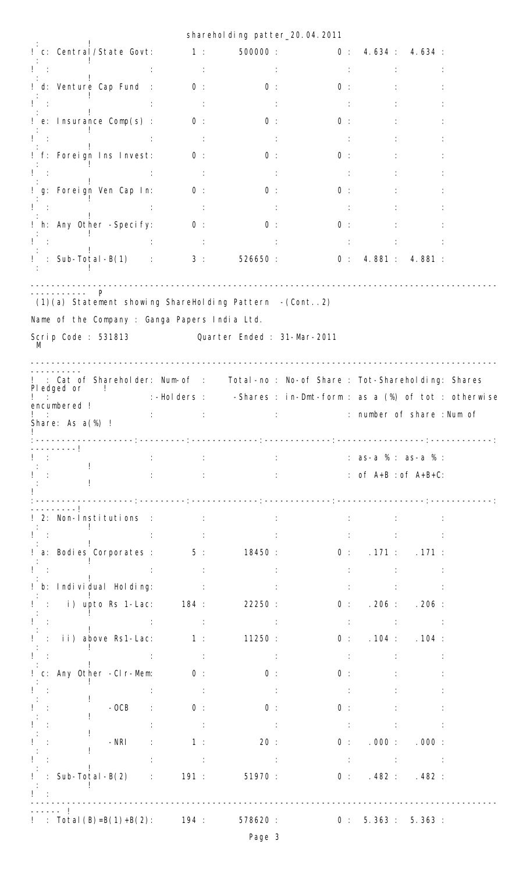|                                                                                                                                    |                                     | sharehol ding patter_20.04.2011                                                    |                                                                                                                                                                                                                                                   |                          |                                                                             |  |
|------------------------------------------------------------------------------------------------------------------------------------|-------------------------------------|------------------------------------------------------------------------------------|---------------------------------------------------------------------------------------------------------------------------------------------------------------------------------------------------------------------------------------------------|--------------------------|-----------------------------------------------------------------------------|--|
| ! c: Central/State Govt:                                                                                                           | $\sim$ $\sim$ 1 : $\sim$            |                                                                                    | 500000: 0: 4.634: 4.634:                                                                                                                                                                                                                          |                          |                                                                             |  |
|                                                                                                                                    | <b>Contractor</b>                   |                                                                                    |                                                                                                                                                                                                                                                   |                          |                                                                             |  |
| ! d: Venture Cap Fund : 0 :                                                                                                        |                                     | 0:                                                                                 | 0:                                                                                                                                                                                                                                                |                          |                                                                             |  |
| Ţ.                                                                                                                                 |                                     |                                                                                    | $\sim 10$                                                                                                                                                                                                                                         |                          |                                                                             |  |
| ! e: Insurance Comp(s) :                                                                                                           | 0:                                  | 0:                                                                                 | 0:                                                                                                                                                                                                                                                |                          |                                                                             |  |
|                                                                                                                                    |                                     | $\sim$ 11                                                                          | $\sim 100$                                                                                                                                                                                                                                        |                          |                                                                             |  |
| ! f: Foreign Ins Invest: 0:                                                                                                        |                                     | $\overline{0}$ :                                                                   | $0$ :                                                                                                                                                                                                                                             |                          |                                                                             |  |
|                                                                                                                                    | <b>Contractor</b>                   | $\sim 10$                                                                          | <b>Section</b>                                                                                                                                                                                                                                    |                          |                                                                             |  |
| ! g: Foreign Ven Cap In:                                                                                                           | $\overline{0}$ :                    | 0:                                                                                 | 0:                                                                                                                                                                                                                                                |                          |                                                                             |  |
| $\mathbf{I}$ :                                                                                                                     | $\sim$ 11                           |                                                                                    |                                                                                                                                                                                                                                                   |                          |                                                                             |  |
| ! h: Any Other -Specify: 0:                                                                                                        |                                     | 0:                                                                                 | 0:                                                                                                                                                                                                                                                |                          |                                                                             |  |
|                                                                                                                                    |                                     |                                                                                    | $\sim$ 10 $\pm$                                                                                                                                                                                                                                   |                          |                                                                             |  |
| $!$ : Sub-Total-B(1) : 3: 526650: 0: 4.881: 4.881:                                                                                 |                                     |                                                                                    |                                                                                                                                                                                                                                                   |                          |                                                                             |  |
| (1)(a) Statement showing ShareHolding Pattern - (Cont2)<br>Name of the Company : Ganga Papers India Ltd.                           |                                     |                                                                                    |                                                                                                                                                                                                                                                   |                          |                                                                             |  |
| Scrip Code: 531813 Cuarter Ended: 31-Mar-2011                                                                                      |                                     |                                                                                    |                                                                                                                                                                                                                                                   |                          |                                                                             |  |
|                                                                                                                                    |                                     |                                                                                    |                                                                                                                                                                                                                                                   |                          |                                                                             |  |
| : Cat of Shareholder: Num-of : Total-no : No-of Share : Tot-Shareholding: Shares<br>Pledged or<br>encumbered !<br>Share: As a(%) ! | de la componentación de             | :-Holders : - Shares : in-Dmt-form : as a (%) of tot : otherwise                   | contract the contract of share : Num of                                                                                                                                                                                                           |                          |                                                                             |  |
| ------I                                                                                                                            | <b>Contractor</b><br>$\mathbb{R}^n$ |                                                                                    | $: 3S-a$ % $: 3S-a$ % $: 3S-a$ % $: 3S-a$ % $: 3S-a$ % $: 3S-a$ % $: 3S-a$ % $: 3S-a$ % $: 3S-a$ % $: 3S-a$ % $: 3S-a$ % $: 3S-a$ % $: 3S-a$ % $: 3S-a$ % $: 3S-a$ % $: 3S-a$ % $: 3S-a$ % $: 3S-a$ % $: 3S-a$ % $: 3S-a$ % $: 3S-a$ % $: 3S-a$ % |                          |                                                                             |  |
| $\sim 10$                                                                                                                          |                                     |                                                                                    |                                                                                                                                                                                                                                                   |                          | : $of A+B: of A+B+C$ :                                                      |  |
|                                                                                                                                    |                                     | .composition: composition: composition: composition: composition: composition: com |                                                                                                                                                                                                                                                   |                          |                                                                             |  |
| 2: Non-Institutions : : :                                                                                                          |                                     | <b>Contract Contract</b>                                                           | $-1.11$                                                                                                                                                                                                                                           |                          |                                                                             |  |
|                                                                                                                                    |                                     |                                                                                    |                                                                                                                                                                                                                                                   |                          |                                                                             |  |
| ! a: Bodies Corporates : $\overline{5}$ : 18450 : $\overline{0}$ : .171 : .171 :                                                   |                                     |                                                                                    |                                                                                                                                                                                                                                                   |                          |                                                                             |  |
| l t                                                                                                                                |                                     |                                                                                    |                                                                                                                                                                                                                                                   | アンティー エンジェー アール・エンジン アール |                                                                             |  |
| b: Individual Holding: :                                                                                                           |                                     |                                                                                    | $\sim 100$                                                                                                                                                                                                                                        |                          |                                                                             |  |
| ! : i) upto Rs 1-Lac:   184 :                                                                                                      |                                     | 22250:                                                                             |                                                                                                                                                                                                                                                   |                          | 0: 206: .206:                                                               |  |
|                                                                                                                                    | <b>Contractor</b>                   | <b>Contractor</b>                                                                  |                                                                                                                                                                                                                                                   |                          | $\sim$ 10 $\sim$ 10 $\sim$ 10 $\sim$ 10 $\sim$ 10 $\sim$ 10 $\sim$          |  |
| $!$ : ii) above Rs1-Lac: $1:$ 11250 :                                                                                              |                                     |                                                                                    |                                                                                                                                                                                                                                                   |                          | 0: 104: .104:                                                               |  |
| $\mathbf{I} = \mathbf{I}$                                                                                                          | $\sim 10^{-1}$ GeV                  | <b>Contractor</b>                                                                  | $\sim 1000$                                                                                                                                                                                                                                       |                          | <b>Service Committee Committee</b>                                          |  |
| ! c: Any Other -CIr-Mem: 0 :                                                                                                       |                                     | $\overline{0}$ :                                                                   | 0:                                                                                                                                                                                                                                                |                          |                                                                             |  |
|                                                                                                                                    | $\sim 10$                           |                                                                                    |                                                                                                                                                                                                                                                   |                          |                                                                             |  |
| $-OCB$ :                                                                                                                           | 0:                                  | 0:                                                                                 | 0:                                                                                                                                                                                                                                                |                          |                                                                             |  |
|                                                                                                                                    |                                     | $\sim$ 100 $\pm$                                                                   | $\sim 100$                                                                                                                                                                                                                                        |                          |                                                                             |  |
| $-NRI$                                                                                                                             | $\sim 10$<br>$\sim$ 1 :             | 20:                                                                                |                                                                                                                                                                                                                                                   |                          | 0: 000: 000: 000:                                                           |  |
| : Sub-Total-B $(2)$ :                                                                                                              | $\sim 10$                           | and the same state of the<br>191:<br>51970:                                        |                                                                                                                                                                                                                                                   |                          | $\sim$ 10 $\sim$ 10 $\sim$ 10 $\sim$ 10 $\sim$ 10 $\sim$ 11<br>0: 482: 482: |  |
|                                                                                                                                    |                                     |                                                                                    |                                                                                                                                                                                                                                                   |                          |                                                                             |  |
| -- !<br>: Total $(B)=B(1)+B(2)$ :                                                                                                  | 194:                                | 578620 :                                                                           | 0:                                                                                                                                                                                                                                                | $5.363$ :                | 5.363:                                                                      |  |
|                                                                                                                                    |                                     |                                                                                    |                                                                                                                                                                                                                                                   |                          |                                                                             |  |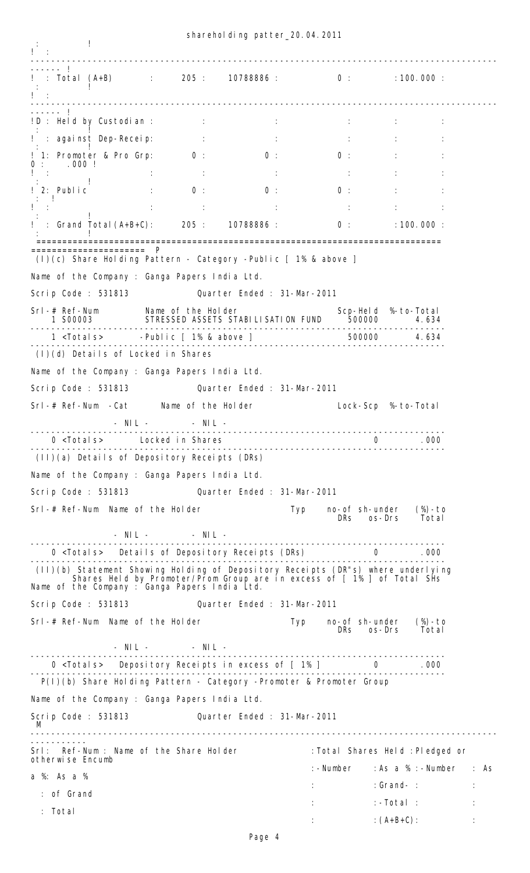:  $\sim$  1  $\frac{1}{1}$  : ------------------------------------------------------------------------------------------  $!$  : Total  $(A+B)$  $\frac{1}{205}$  : 205 : 10788886 : 0 : 100.000 : : : : : : : : : 1 ! :<br>----------------------------------------------------------------------------------------------------------------- ------ ! !D : Held by Custodian : : :  $\cdot$  :  $\cdot$  :  $\cdot$  :  $\cdot$  :  $\cdot$  :  $\cdot$  :  $\cdot$  :  $\cdot$  :  $\cdot$  :  $\cdot$  :  $\cdot$  :  $\cdot$  :  $\cdot$  :  $\cdot$  :  $\cdot$  :  $\cdot$  :  $\cdot$  :  $\cdot$  :  $\cdot$  :  $\cdot$  :  $\cdot$  :  $\cdot$  :  $\cdot$  :  $\cdot$  :  $\cdot$  :  $\cdot$  :  $\cdot$  :  $\cdot$  :  $\cdot$  :  $\cdot$  :  $\cdot$  :  $\cdot$ ! : against Dep-Receip: : : : : : : : : : : : : : 1 | 1: Promoter & Pro Grp: 0 : 0 : 0 : 0 : 0 : : : 0 : 0 : .000 ! lista de la construcción de la construcción de la construcción de la construcción de la construcción de la con : : : : : : : : : 1 ! 2: Public : 0: 0: 0: 0: : : : ! lista de la construcción de la construcción de la construcción de la construcción de la construcción de la con : : : : : : : 1  $\frac{1}{1}$  : Grand Total (A+B+C): 205 : 10788886 : 0 : 100.000 : : 100 million ============================================================================== ====================== P (I)(c) Share Holding Pattern - Category -Public [ 1% & above ] Name of the Company : Ganga Papers India Ltd. Scrip Code : 531813 Quarter Ended : 31-Mar-2011 Srl-# Ref-Num Name of the Holder Scp-Held %-to-Total 1 S00003 STRESSED ASSETS STABILISATION FUND 500000 4.634 -------------------------------------------------------------------------------- 1 <Totals> -Public [ 1% & above ] 500000 4.634 -------------------------------------------------------------------------------- (I)(d) Details of Locked in Shares Name of the Company : Ganga Papers India Ltd. Scrip Code : 531813 Quarter Ended : 31-Mar-2011 Srl-# Ref-Num -Cat Mame of the Holder Lock-Scp %-to-Total - NIL - - NIL - -------------------------------------------------------------------------------- 0 <Totals> Locked in Shares 0 .000 -------------------------------------------------------------------------------- (II)(a) Details of Depository Receipts (DRs) Name of the Company : Ganga Papers India Ltd. Scrip Code : 531813 Quarter Ended : 31-Mar-2011 Srl-# Ref-Num Name of the Holder Typ no-of sh-under (%)-to  $DRs$  os-Drs - NIL - - NIL - -------------------------------------------------------------------------------- 0 <Totals> Details of Depository Receipts (DRs) -------------------------------------------------------------------------------- (II)(b) Statement Showing Holding of Depository Receipts (DR"s) where underlying Shares Held by Promoter/Prom Group are in excess of [ 1% ] of Total SHs Name of the Company : Ganga Papers India Ltd. Scrip Code : 531813 Quarter Ended : 31-Mar-2011 Srl-# Ref-Num Name of the Holder Typ no-of sh-under (%)-to<br>DRs os-Drs Total - NIL - - NIL - -------------------------------------------------------------------------------- 0 <Totals> Depository Receipts in excess of [ 1% ] 0 .000 -------------------------------------------------------------------------------- P(I)(b) Share Holding Pattern - Category -Promoter & Promoter Group Name of the Company : Ganga Papers India Ltd. Scrip Code : 531813 Quarter Ended : 31-Mar-2011 M ------------------------------------------------------------------------------------------ ----------- Srl: Ref-Num : Name of the Share Holder : Total Shares Held : Pledged or otherwise Encumb :-Number :As a % :-Number : As a %: As a % : :Grand- : : : of Grand  $:$   $:$   $:$   $-Total$   $:$  : Total  $:$   $(A+B+C):$   $:$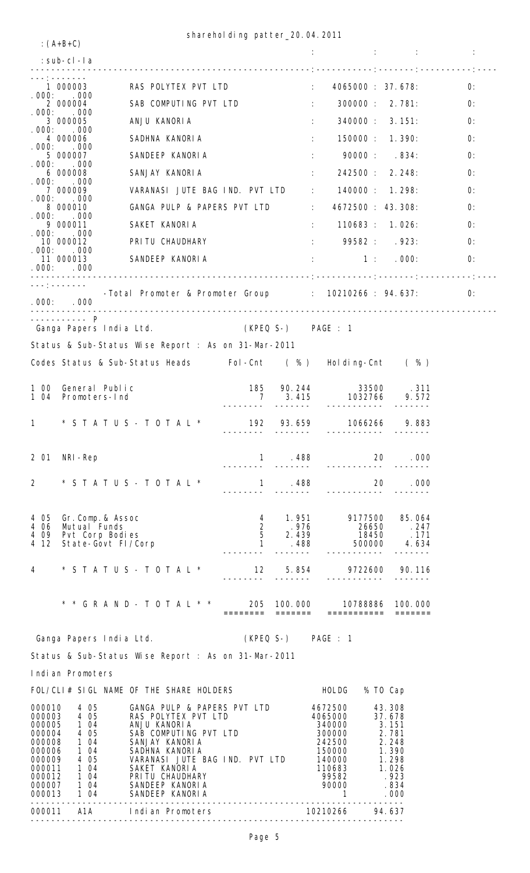: : : :

:(A+B+C)

|                                                                                                            | : sub-cl -la                                                                            |                                                                                                                                                                                                                                             |                                                  |                                        | 이 사이트 A STATE A STATE A STATE A STATE AND A STATE AND A STATE AND A STATE AND A STATE AND A STATE AND A STATE O |                                                                                                |    |
|------------------------------------------------------------------------------------------------------------|-----------------------------------------------------------------------------------------|---------------------------------------------------------------------------------------------------------------------------------------------------------------------------------------------------------------------------------------------|--------------------------------------------------|----------------------------------------|-----------------------------------------------------------------------------------------------------------------|------------------------------------------------------------------------------------------------|----|
|                                                                                                            |                                                                                         |                                                                                                                                                                                                                                             |                                                  |                                        | $\frac{1}{2}$ : 4065000 : 37.678:                                                                               |                                                                                                | 0: |
|                                                                                                            |                                                                                         | 1 000003 RAS POLYTEX PVT LTD<br>.000: .000<br>2 000004 SAB COMPUTING PVT LTD                                                                                                                                                                |                                                  | <b>Contract Contract Contract</b>      |                                                                                                                 | 300000 : 2.781:                                                                                | 0: |
|                                                                                                            | .000: .000<br>3 000005                                                                  | ANJU KANORIA                                                                                                                                                                                                                                |                                                  |                                        | 100000                                                                                                          | 340000: 3.151:                                                                                 | O: |
| . 000:                                                                                                     | .000<br>4 000006                                                                        | SADHNA KANORIA                                                                                                                                                                                                                              |                                                  |                                        | $\mathcal{I}^{\text{max}}$ .                                                                                    | 150000 : 1.390:                                                                                | 0: |
|                                                                                                            | .000: .000<br>5 000007                                                                  | SANDEEP KANORIA                                                                                                                                                                                                                             |                                                  |                                        | 90000 : 834:                                                                                                    |                                                                                                | O: |
|                                                                                                            | .000: .000<br>6 000008                                                                  | SANJAY KANORIA                                                                                                                                                                                                                              |                                                  |                                        | 242500 : 2.248                                                                                                  |                                                                                                | 0: |
| . 000:                                                                                                     | .000<br>7 000009                                                                        | VARANASI JUTE BAG IND. PVT LTD : 140000: 1.298:                                                                                                                                                                                             |                                                  |                                        |                                                                                                                 |                                                                                                | 0: |
|                                                                                                            | .000: .000<br>8 000010                                                                  | GANGA PULP & PAPERS PVT LTD : 4672500 : 43.308:                                                                                                                                                                                             |                                                  |                                        |                                                                                                                 |                                                                                                | 0: |
|                                                                                                            | .000: .000                                                                              | 9 000011 SAKET KANORIA                                                                                                                                                                                                                      |                                                  |                                        | : 110683 : 1.026:                                                                                               |                                                                                                | 0: |
| . 000:                                                                                                     | .000<br>10 000012                                                                       | PRI TU CHAUDHARY                                                                                                                                                                                                                            |                                                  |                                        | 99582 : 923:                                                                                                    |                                                                                                | 0: |
|                                                                                                            | .000: .000<br>.000: .000                                                                | 11 000013 SANDEEP KANORIA                                                                                                                                                                                                                   |                                                  |                                        | 1: 000:                                                                                                         |                                                                                                | 0: |
|                                                                                                            | ____________<br>.000: .000                                                              | -Total Promoter & Promoter Group : 10210266 : 94.637:                                                                                                                                                                                       |                                                  |                                        |                                                                                                                 |                                                                                                | 0: |
|                                                                                                            | ----------- P                                                                           | Ganga Papers India Ltd. (KPEQ S-) PAGE : 1                                                                                                                                                                                                  |                                                  |                                        |                                                                                                                 |                                                                                                |    |
|                                                                                                            |                                                                                         | Status & Sub-Status Wise Report : As on 31-Mar-2011                                                                                                                                                                                         |                                                  |                                        |                                                                                                                 |                                                                                                |    |
|                                                                                                            |                                                                                         | Codes Status & Sub-Status Heads Fol-Cnt (%) Holding-Cnt (%)                                                                                                                                                                                 |                                                  |                                        |                                                                                                                 |                                                                                                |    |
|                                                                                                            | 1 00 General Public<br>1 04 Promoters-Ind                                               |                                                                                                                                                                                                                                             | ---------                                        |                                        |                                                                                                                 |                                                                                                |    |
|                                                                                                            |                                                                                         | 1 * S T A T U S - T O T A L * 192 93.659 1066266 9.883                                                                                                                                                                                      |                                                  |                                        |                                                                                                                 |                                                                                                |    |
|                                                                                                            | 2 01 NRI-Rep                                                                            |                                                                                                                                                                                                                                             | 1                                                | . 488                                  | 20                                                                                                              | .000                                                                                           |    |
| $\overline{2}$                                                                                             |                                                                                         | $*$ STATUS - TOTAL $*$                                                                                                                                                                                                                      | $\mathbf{1}$                                     | . 488                                  | 20                                                                                                              | . 000                                                                                          |    |
| 4 05<br>4 06<br>4 0 9<br>4 12                                                                              | Gr.Comp.& Assoc<br>Mutual Funds<br>Pvt Corp Bodies<br>State-Govt FI/Corp                |                                                                                                                                                                                                                                             | $\overline{2}$<br>$\overline{5}$<br>$\mathbf{1}$ | 4 1.951<br>.976<br>2.439<br>. 488      | 9177500<br>26650<br>18450<br>500000                                                                             | 85.064<br>.247<br>.171<br>4.634                                                                |    |
| $\overline{4}$                                                                                             |                                                                                         | $*$ STATUS - TOTAL $*$                                                                                                                                                                                                                      | 12                                               | 5.854                                  | 9722600                                                                                                         | 90.116                                                                                         |    |
|                                                                                                            |                                                                                         | * * G R A N D - T O T A L * *                                                                                                                                                                                                               | ========                                         | 205 100.000<br>$=$ $=$ $=$ $=$ $=$ $=$ | 10788886<br>===========                                                                                         | 100, 000<br>$=$                                                                                |    |
|                                                                                                            | Ganga Papers India Ltd.                                                                 |                                                                                                                                                                                                                                             |                                                  | (KPEQ S-) PAGE : 1                     |                                                                                                                 |                                                                                                |    |
|                                                                                                            |                                                                                         | Status & Sub-Status Wise Report : As on 31-Mar-2011                                                                                                                                                                                         |                                                  |                                        |                                                                                                                 |                                                                                                |    |
|                                                                                                            | Indian Promoters                                                                        |                                                                                                                                                                                                                                             |                                                  |                                        |                                                                                                                 |                                                                                                |    |
|                                                                                                            |                                                                                         | FOL/CLI# SIGL NAME OF THE SHARE HOLDERS                                                                                                                                                                                                     |                                                  |                                        | HOLDG                                                                                                           | % TO Cap                                                                                       |    |
| 000010<br>000003<br>000005<br>000004<br>000008<br>000006<br>000009<br>000011<br>000012<br>000007<br>000013 | 4 0 5<br>4 0 5<br>1 04<br>4 0 5<br>1 04<br>1 04<br>4 05<br>1 04<br>1 04<br>1 04<br>1 04 | GANGA PULP & PAPERS PVT LTD<br>RAS POLYTEX PVT LTD<br>ANJU KANORIA<br>SAB COMPUTING PVT LTD<br>SANJAY KANORIA<br>SADHNA KANORIA<br>VARANASI JUTE BAG IND. PVT LTD<br>SAKET KANORIA<br>PRITU CHAUDHARY<br>SANDEEP KANORIA<br>SANDEEP KANORIA |                                                  |                                        | 4672500<br>4065000<br>340000<br>300000<br>242500<br>150000<br>140000<br>110683<br>99582<br>90000<br>1           | 43.308<br>37.678<br>3.151<br>2.781<br>2.248<br>1.390<br>1.298<br>1.026<br>.923<br>.834<br>.000 |    |

------------------------------------------------------------------------ 000011 A1A Indian Promoters 10210266 94.637 ------------------------------------------------------------------------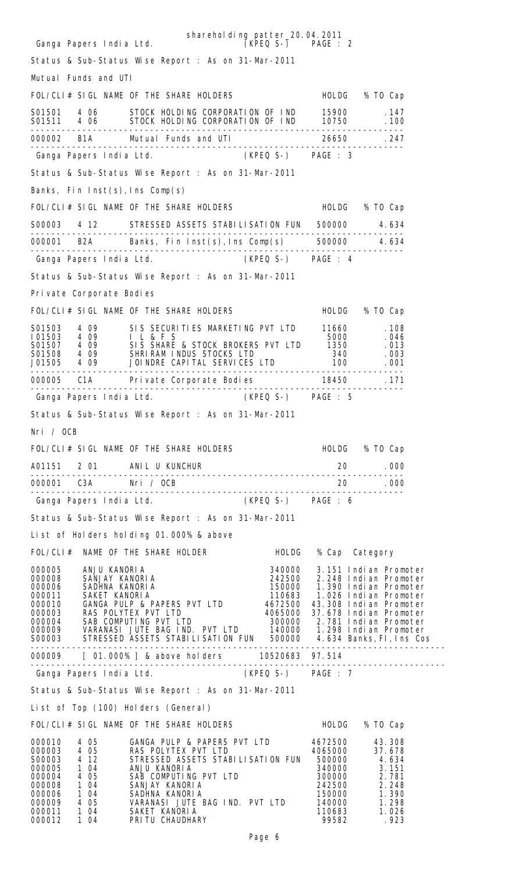| shareholding patter_20.04.2011<br>(KPEQ S-) PAGE: 2<br>Ganga Papers India Ltd.                                                                                                                                                                                                                                                                                                                                                                                                      |                    |        |                       |
|-------------------------------------------------------------------------------------------------------------------------------------------------------------------------------------------------------------------------------------------------------------------------------------------------------------------------------------------------------------------------------------------------------------------------------------------------------------------------------------|--------------------|--------|-----------------------|
| Status & Sub-Status Wise Report : As on 31-Mar-2011                                                                                                                                                                                                                                                                                                                                                                                                                                 |                    |        |                       |
| Mutual Funds and UTI                                                                                                                                                                                                                                                                                                                                                                                                                                                                |                    |        |                       |
| FOL/CLI# SIGL NAME OF THE SHARE HOLDERS                                                                                                                                                                                                                                                                                                                                                                                                                                             |                    |        | HOLDG % TO Cap        |
| S01501 4 06 STOCK HOLDING CORPORATION OF IND 15900<br>SO1511 4 06 STOCK HOLDING CORPORATION OF IND 10750 . 100                                                                                                                                                                                                                                                                                                                                                                      |                    |        | . 147                 |
|                                                                                                                                                                                                                                                                                                                                                                                                                                                                                     |                    |        |                       |
| Ganga Papers India Ltd. (KPEQ S-) PAGE : 3                                                                                                                                                                                                                                                                                                                                                                                                                                          |                    |        |                       |
| Status & Sub-Status Wise Report : As on 31-Mar-2011                                                                                                                                                                                                                                                                                                                                                                                                                                 |                    |        |                       |
| Banks, Fin Inst(s), Ins Comp(s)                                                                                                                                                                                                                                                                                                                                                                                                                                                     |                    |        |                       |
| FOL/CLI# SIGL NAME OF THE SHARE HOLDERS                                                                                                                                                                                                                                                                                                                                                                                                                                             |                    |        | HOLDG % TO Cap        |
| S00003 4 12 STRESSED ASSETS STABILISATION FUN 500000 4.634                                                                                                                                                                                                                                                                                                                                                                                                                          |                    |        |                       |
| 000001 B2A Banks, Fin Inst(s), Ins Comp(s) 500000 4.634                                                                                                                                                                                                                                                                                                                                                                                                                             |                    |        |                       |
| Ganga Papers India Ltd. (KPEQ S-) PAGE : 4                                                                                                                                                                                                                                                                                                                                                                                                                                          |                    |        |                       |
| Status & Sub-Status Wise Report : As on 31-Mar-2011                                                                                                                                                                                                                                                                                                                                                                                                                                 |                    |        |                       |
| Private Corporate Bodies                                                                                                                                                                                                                                                                                                                                                                                                                                                            |                    |        |                       |
| FOL/CLI# SIGL NAME OF THE SHARE HOLDERS                                                                                                                                                                                                                                                                                                                                                                                                                                             |                    |        | HOLDG % TO Cap        |
|                                                                                                                                                                                                                                                                                                                                                                                                                                                                                     |                    |        |                       |
|                                                                                                                                                                                                                                                                                                                                                                                                                                                                                     |                    |        |                       |
| 901503 4 09 SIS SECURITIES MARKETING PVT LTD 11660 . 108<br>101503 4 09 I L & F S 5000 . 046<br>901507 4 09 SIS SHARE & STOCK BROKERS PVT LTD 1350 . 013<br>901508 4 09 SHRIRAM INDUS STOCKS LTD 340 . 003<br>901505 4 09 JOINDRE CAPITAL<br>1913 - 1922 - 1924 - 1925 - 1927<br>100 - 100 - 100 - 100 - 100 - 100 - 100 - 100<br>- Primer - 100 - 100 - 100 - 100 - 100 - 100 - 101 - 101 - 102 - 103 - 104 - 104 - 105 - 107 - 108 - 109 - 10<br>- Primer - 102 - 102 - 102 - 102 |                    |        |                       |
| 000005 C1A Private Corporate Bodies 18450 18450                                                                                                                                                                                                                                                                                                                                                                                                                                     |                    |        |                       |
| Ganga Papers India Ltd.                                                                                                                                                                                                                                                                                                                                                                                                                                                             | (KPEQ S-) PAGE : 5 |        |                       |
| Status & Sub-Status Wise Report : As on 31-Mar-2011                                                                                                                                                                                                                                                                                                                                                                                                                                 |                    |        |                       |
| Nri / OCB                                                                                                                                                                                                                                                                                                                                                                                                                                                                           |                    |        |                       |
| FOL/CLI# SIGL NAME OF THE SHARE HOLDERS HOLD HOLDG % TO Cap                                                                                                                                                                                                                                                                                                                                                                                                                         |                    |        |                       |
|                                                                                                                                                                                                                                                                                                                                                                                                                                                                                     |                    |        | 20 .000               |
|                                                                                                                                                                                                                                                                                                                                                                                                                                                                                     |                    |        |                       |
| Ganga Papers India Ltd. (KPEQ S-) PAGE : 6                                                                                                                                                                                                                                                                                                                                                                                                                                          |                    |        |                       |
| Status & Sub-Status Wise Report : As on 31-Mar-2011                                                                                                                                                                                                                                                                                                                                                                                                                                 |                    |        |                       |
| List of Holders holding 01.000% & above                                                                                                                                                                                                                                                                                                                                                                                                                                             |                    |        |                       |
| FOL/CLI# NAME OF THE SHARE HOLDER HOLDG                                                                                                                                                                                                                                                                                                                                                                                                                                             |                    |        | % Cap Category        |
|                                                                                                                                                                                                                                                                                                                                                                                                                                                                                     |                    |        |                       |
|                                                                                                                                                                                                                                                                                                                                                                                                                                                                                     |                    |        |                       |
|                                                                                                                                                                                                                                                                                                                                                                                                                                                                                     |                    |        |                       |
|                                                                                                                                                                                                                                                                                                                                                                                                                                                                                     |                    |        |                       |
| 000005<br>000008 SANJAY KANORIA<br>000006 SANJAY KANORIA<br>000006 SADHNA KANORIA<br>000011 SAKET KANORIA<br>000011 SAKET KANORIA<br>000011 SAKET KANORIA<br>000010 GANGA PULTE PERS PVT LTD<br>000003 RAS POLYTEX PYT LTD<br>000004 RAS POLYTEX                                                                                                                                                                                                                                    |                    |        |                       |
|                                                                                                                                                                                                                                                                                                                                                                                                                                                                                     |                    |        |                       |
| Ganga Papers India Ltd. (KPEQ S-) PAGE : 7                                                                                                                                                                                                                                                                                                                                                                                                                                          |                    |        |                       |
| Status & Sub-Status Wise Report : As on 31-Mar-2011                                                                                                                                                                                                                                                                                                                                                                                                                                 |                    |        |                       |
| List of Top (100) Holders (General)                                                                                                                                                                                                                                                                                                                                                                                                                                                 |                    |        |                       |
| FOL/CLI# SIGL NAME OF THE SHARE HOLDERS FOLL THOLDG % TO Cap                                                                                                                                                                                                                                                                                                                                                                                                                        |                    |        |                       |
|                                                                                                                                                                                                                                                                                                                                                                                                                                                                                     |                    |        |                       |
|                                                                                                                                                                                                                                                                                                                                                                                                                                                                                     |                    |        |                       |
|                                                                                                                                                                                                                                                                                                                                                                                                                                                                                     |                    |        |                       |
| 000010 4 05 6ANGA PULP & PAPERS PVT LTD 4672500 43.308<br>000003 4 05 RAS POLYTEX PVT LTD 4065000 37.678<br>S00003 4 12 STRESSED ASSETS STABILISATION FUN 500000 4.634<br>000005 1 04 ANJU KANORIA 340000 3.151<br>000004 4 05 SAB COM                                                                                                                                                                                                                                              |                    |        |                       |
| VARANASI JUTE BAG IND. PVT LTD<br>4 0 5<br>000009<br>000011<br>1 04<br>SAKET KANORIA                                                                                                                                                                                                                                                                                                                                                                                                |                    | 110683 | 140000 1.298<br>1.026 |

000012 1 04 PRITU CHAUDHARY 99582 .923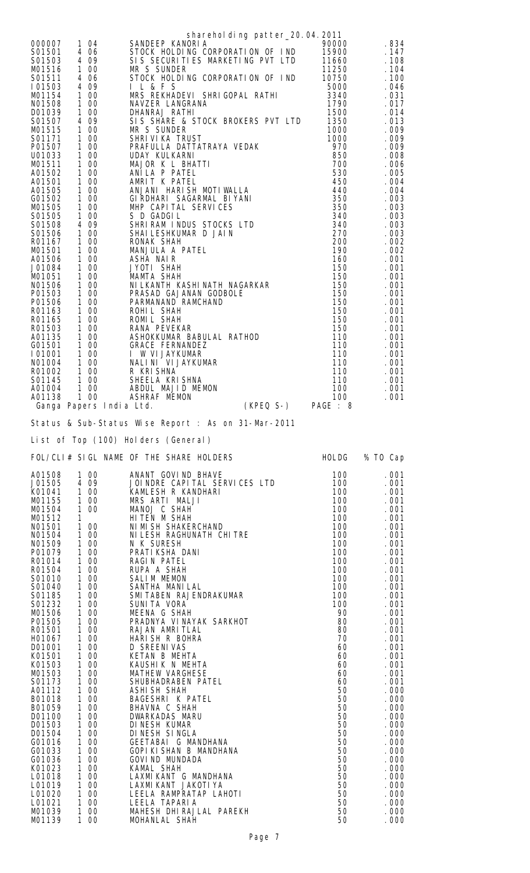|                                                                                                                                                                                                                                                                                                                                                                                                                                                                                                                                                                                                                                                                                                                                                                                   | sharehol ding patter_20.04.2011                                                                                                                                                                                                                                                                                                                                                                                                                                                                                                                                                                                                                                                                                                                                                                                                                                                                                                                                                                                                                                              |                                                                                                                                                                                                                                                                                                                     |                                                                                                                                                                                                                                                                                                                                                  |
|-----------------------------------------------------------------------------------------------------------------------------------------------------------------------------------------------------------------------------------------------------------------------------------------------------------------------------------------------------------------------------------------------------------------------------------------------------------------------------------------------------------------------------------------------------------------------------------------------------------------------------------------------------------------------------------------------------------------------------------------------------------------------------------|------------------------------------------------------------------------------------------------------------------------------------------------------------------------------------------------------------------------------------------------------------------------------------------------------------------------------------------------------------------------------------------------------------------------------------------------------------------------------------------------------------------------------------------------------------------------------------------------------------------------------------------------------------------------------------------------------------------------------------------------------------------------------------------------------------------------------------------------------------------------------------------------------------------------------------------------------------------------------------------------------------------------------------------------------------------------------|---------------------------------------------------------------------------------------------------------------------------------------------------------------------------------------------------------------------------------------------------------------------------------------------------------------------|--------------------------------------------------------------------------------------------------------------------------------------------------------------------------------------------------------------------------------------------------------------------------------------------------------------------------------------------------|
| 1 04<br>000007<br>S01501<br>4 06<br>4 0 9<br>S01503<br>100<br>M01516<br>S01511<br>4 06<br>4 0 9<br>101503<br>100<br>MO1154<br>100<br>NO1508<br>D01039<br>100<br>4 0 9<br>S01507<br>1 00<br>M01515<br>S01171<br>100<br>P01507<br>100<br>U01033<br>100<br>100<br>M01511<br>100<br>A01502<br>100<br>A01501<br>100<br>A01505<br>100<br>G01502<br>100<br>M01505<br>S01505<br>100<br>4 0 9<br>S01508<br>1 00<br>S01506<br>100<br>R01167<br>M01501<br>100<br>A01506<br>100<br>100<br>J01084<br>M01051<br>100<br>100<br>N01506<br>100<br>P01503<br>P01506<br>100<br>100<br>R01163<br>100<br>R01165<br>1 00<br>R01503<br>A01135<br>100<br>100<br>G01501<br>101001<br>1 00<br>100<br>NO1004<br>100<br>R01002<br>1 00<br>S01145<br>100<br>A01004<br>100<br>A01138<br>Ganga Papers India Ltd. | SANDEEP KANORIA<br>STOCK HOLDING CORPORATION OF IND<br>SIS SECURITIES MARKETING PVT LTD<br>MR S SUNDER<br>STOCK HOLDING CORPORATION OF IND<br><b>I L &amp; F S</b><br>MRS REKHADEVI SHRIGOPAL RATHI<br>NAVZER LANGRANA<br>DHANRAJ RATHI<br>SIS SHARE & STOCK BROKERS PVT LTD<br>MR S SUNDER<br>SHRIVIKA TRUST<br>PRAFULLA DATTATRAYA VEDAK<br>UDAY KULKARNI<br>MAJOR K L BHATTI<br>ANILA P PATEL<br>AMRIT K PATEL<br>ANJANI HARISH MOTIWALLA<br>GIRDHARI SAGARMAL BIYANI<br>MHP CAPITAL SERVICES<br>S D GADGIL<br>SHRIRAM INDUS STOCKS LTS<br>SHRIRAM INDUS STOCKS LTD<br>SHAI LESHKUMAR D JAIN<br>RONAK SHAH<br>MANJULA A PATEL<br>ASHA NAIR<br>JYOTI SHAH<br>MAMTA SHAH<br>WILKANTH KASHINATH NAGARKAR<br>PRASAD GAJANAN GODBOLE<br>PARMANAND RAMCHAND<br>ROHIL SHAH<br>ROMIL SHAH<br>PANA PEVEKAP<br>RANA PEVEKAR<br>ASHOKKUMAR BABULAL RATHOD<br><b>GRACE FERNANDEZ</b><br>I W VI JAYKUMAR<br>NALINI VI JAYKUMAR<br>R KRISHNA<br>SHEELA KRISHNA<br>ABDUL MAJID MEMON<br><b>ASHRAF MEMON</b><br>(KPEQ S-) PAGE : 8<br>Status & Sub-Status Wise Report : As on 31-Mar-2011 | 90000<br>15900<br>11660<br>11250<br>10750<br>5000<br>3340<br>1790<br>1500<br>1350<br>1000<br>1000<br>970<br>850<br>700<br>530<br>450<br>440<br>350<br>350<br>340<br>340<br>270<br>200<br>190<br>160<br>150<br>150<br>150<br>150<br>150<br>150<br>150<br>150<br>110<br>110<br>110<br>110<br>110<br>110<br>100<br>100 | .834<br>.147<br>.108<br>.104<br>.100<br>. 046<br>.031<br>.017<br>.014<br>.013<br>.009<br>.009<br>.009<br>.008<br>.006<br>.005<br>.004<br>.004<br>.003<br>.003<br>.003<br>.003<br>.003<br>.002<br>.002<br>.001<br>. 001<br>.001<br>.001<br>.001<br>.001<br>.001<br>.001<br>.001<br>.001<br>. 001<br>.001<br>.001<br>.001<br>.001<br>.001<br>. 001 |
|                                                                                                                                                                                                                                                                                                                                                                                                                                                                                                                                                                                                                                                                                                                                                                                   | List of Top (100) Holders (General)                                                                                                                                                                                                                                                                                                                                                                                                                                                                                                                                                                                                                                                                                                                                                                                                                                                                                                                                                                                                                                          |                                                                                                                                                                                                                                                                                                                     |                                                                                                                                                                                                                                                                                                                                                  |
|                                                                                                                                                                                                                                                                                                                                                                                                                                                                                                                                                                                                                                                                                                                                                                                   | FOL/CLI# SIGL NAME OF THE SHARE HOLDERS                                                                                                                                                                                                                                                                                                                                                                                                                                                                                                                                                                                                                                                                                                                                                                                                                                                                                                                                                                                                                                      | HOLDG                                                                                                                                                                                                                                                                                                               | % TO Cap                                                                                                                                                                                                                                                                                                                                         |
| 1 00<br>A01508<br>J01505<br>4 0 9<br>100<br>K01041<br>MO1155<br>1 00<br>1 00<br>M01504<br>M01512<br>1<br>100<br>NO1501<br>NO1504<br>1 00<br>100<br>NO1509<br>100<br>P01079<br>R01014<br>1 00<br>100<br>R01504<br>100<br>S01010<br>S01040<br>1 00<br>100<br>S01185<br>100<br>S01232<br>M01506<br>1 00<br>100<br>P01505<br>100<br>R01501<br>H01067<br>1 00<br>100<br>D01001<br>100<br>K01501<br>1 00<br>K01503<br>M01503<br>1 00<br>S01173<br>100<br>1 00<br>A01112<br>B01018<br>1 00<br>100<br>B01059<br>D01100<br>1 00<br>100<br>D01503<br>100<br>D01504<br>G01016<br>1 00<br>100<br>G01033<br>100<br>G01036<br>K01023<br>1 00<br>L01018<br>1 00<br>100<br>L01019<br>1 00<br>L01020<br>1 00<br>L01021                                                                             | ANANT GOVIND BHAVE<br>JOINDRE CAPITAL SERVICES LTD<br>KAMLESH R KANDHARI<br>MRS ARTI MALJI<br>MANOJ C SHAH<br>HITEN M SHAH<br>NI MI SH SHAKERCHAND<br>NI LESH RAGHUNATH CHI TRE<br>N K SURESH<br>N K SURESH<br>PRATIKSHA DANI<br>RAGIN PATEL<br>RUPA A SHAH<br>SALIM MEMON<br>SANTHA MANILAL<br>SMITABEN RAJENDRAKUMAR<br>SMITABEN RAJENDRAKUMAR<br>SUNITA VORA<br>MEENA G SHAH<br>PRADNYA VI NAYAK SARKHOT<br>RAJAN AMRITLAL<br>HARI SH R BOHRA<br><b>D SREENI VAS</b><br>KETAN B MEHTA<br>KAUSHIK N MEHTA<br><b>MATHEW VARGHESE</b><br>SHUBHADRABEN PATEL<br>ASHI SH SHAH<br>BAGESHRI K PATEL<br>BHAVNA C SHAH<br>DWARKADAS MARU<br>DI NESH KUMAR<br>DINESH SINGLA<br>GEETABAI G MANDHANA<br>GOPI KI SHAN B MANDHANA<br><b>GOVI ND MUNDADA</b><br>KAMAL SHAH<br>LAXMI KANT G MANDHANA<br>LAXMI KANT JAKOTI YA                                                                                                                                                                                                                                                              | 100<br>100<br>100<br>100<br>100<br>100<br>100<br>100<br>100<br>100<br>100<br>100<br>100<br>100<br>100<br>100<br>90<br>80<br>80<br>70<br>60<br>60<br>60<br>60<br>60<br>50<br>50<br>50<br>50<br>50<br>50<br>50<br>50<br>50<br>50<br>50<br>50                                                                          | . 001<br>. 001<br>.001<br>. 001<br>.001<br>. 001<br>. 001<br>.001<br>. 001<br>. 001<br>. 001<br>. 001<br>.001<br>.001<br>.001<br>. 001<br>. 001<br>.001<br>.001<br>.001<br>. 001<br>. 001<br>. 001<br>.001<br>.001<br>.000<br>.000<br>.000<br>.000<br>.000<br>.000<br>.000<br>.000<br>.000<br>. 000<br>.000<br>.000                              |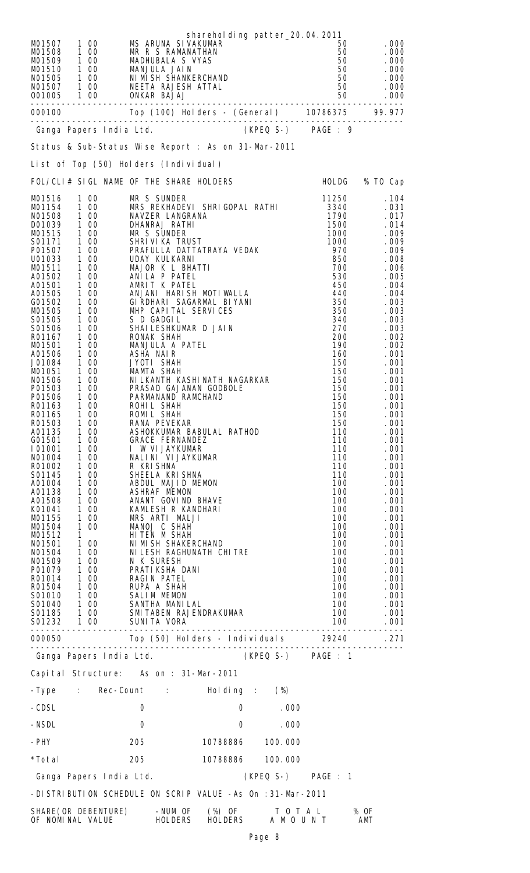| M01507<br>1 00<br>100<br>M01508<br>1 0 0<br>M01509<br>MO1510  1 00 MANJULA JAIN<br>NO1505  1 00 NIMISH SHANKERCHAND<br>NO1507  1 00 NEETA RAJESH ATTAL<br>001005  1   00   0NKAR   BAJAJ<br>---------                                                                                                                                                                                                                                                                                                                                                                                                                                                                                                                                                                                                                                                                                                                                                                                                                                                                                                                                                      | MS ARUNA SI VAKUMAR<br>MR R S RAMANATHAN<br>MADHUBALA S VYAS<br>NI MI SH SHANKERCHAND                                                                                                                                                                                                                                                                                                                                                                                                                                                                                                                                                                                                                                                                                                                                                                                                                                                                                         | sharehol ding patter_20.04.2011 |                    | 50<br>50<br>50<br>50<br>50<br>50<br>50                                                                                                                                                                                                                                                                                                                     | .000<br>.000<br>.000<br>. 000<br>.000<br>.000<br>.000                                                                                                                                                                                                                                                                                                                                                                         |
|------------------------------------------------------------------------------------------------------------------------------------------------------------------------------------------------------------------------------------------------------------------------------------------------------------------------------------------------------------------------------------------------------------------------------------------------------------------------------------------------------------------------------------------------------------------------------------------------------------------------------------------------------------------------------------------------------------------------------------------------------------------------------------------------------------------------------------------------------------------------------------------------------------------------------------------------------------------------------------------------------------------------------------------------------------------------------------------------------------------------------------------------------------|-------------------------------------------------------------------------------------------------------------------------------------------------------------------------------------------------------------------------------------------------------------------------------------------------------------------------------------------------------------------------------------------------------------------------------------------------------------------------------------------------------------------------------------------------------------------------------------------------------------------------------------------------------------------------------------------------------------------------------------------------------------------------------------------------------------------------------------------------------------------------------------------------------------------------------------------------------------------------------|---------------------------------|--------------------|------------------------------------------------------------------------------------------------------------------------------------------------------------------------------------------------------------------------------------------------------------------------------------------------------------------------------------------------------------|-------------------------------------------------------------------------------------------------------------------------------------------------------------------------------------------------------------------------------------------------------------------------------------------------------------------------------------------------------------------------------------------------------------------------------|
| Ganga Papers India Ltd. (KPEQ S-) PAGE : 9                                                                                                                                                                                                                                                                                                                                                                                                                                                                                                                                                                                                                                                                                                                                                                                                                                                                                                                                                                                                                                                                                                                 |                                                                                                                                                                                                                                                                                                                                                                                                                                                                                                                                                                                                                                                                                                                                                                                                                                                                                                                                                                               |                                 |                    |                                                                                                                                                                                                                                                                                                                                                            |                                                                                                                                                                                                                                                                                                                                                                                                                               |
| Status & Sub-Status Wise Report : As on 31-Mar-2011                                                                                                                                                                                                                                                                                                                                                                                                                                                                                                                                                                                                                                                                                                                                                                                                                                                                                                                                                                                                                                                                                                        |                                                                                                                                                                                                                                                                                                                                                                                                                                                                                                                                                                                                                                                                                                                                                                                                                                                                                                                                                                               |                                 |                    |                                                                                                                                                                                                                                                                                                                                                            |                                                                                                                                                                                                                                                                                                                                                                                                                               |
| List of Top (50) Holders (Individual)                                                                                                                                                                                                                                                                                                                                                                                                                                                                                                                                                                                                                                                                                                                                                                                                                                                                                                                                                                                                                                                                                                                      |                                                                                                                                                                                                                                                                                                                                                                                                                                                                                                                                                                                                                                                                                                                                                                                                                                                                                                                                                                               |                                 |                    |                                                                                                                                                                                                                                                                                                                                                            |                                                                                                                                                                                                                                                                                                                                                                                                                               |
| FOL/CLI# SIGL NAME OF THE SHARE HOLDERS                                                                                                                                                                                                                                                                                                                                                                                                                                                                                                                                                                                                                                                                                                                                                                                                                                                                                                                                                                                                                                                                                                                    |                                                                                                                                                                                                                                                                                                                                                                                                                                                                                                                                                                                                                                                                                                                                                                                                                                                                                                                                                                               |                                 |                    | HOLDG                                                                                                                                                                                                                                                                                                                                                      | % TO Cap                                                                                                                                                                                                                                                                                                                                                                                                                      |
| M01516<br>1 00<br>100<br>MO1154<br>NO1508<br>1 00<br>1 00<br>1 00<br>D01039<br>MO1515<br>1 00<br>S01171<br>$\begin{array}{c} 1 & 00 \\ 1 & 00 \end{array}$<br>P01507<br>100<br>U01033<br>1 0 0<br>MO1511<br>1 00<br>1 00<br>A01502<br>A01501<br>1 0 0<br>A01505<br>G01502<br>1 00<br>100<br>M01505<br>1 00<br>S01505<br>$\frac{1}{1}$ 00<br>S01506<br>100<br>R01167<br>1 00<br>M01501<br>100<br>A01506<br>1 00<br>J01084<br>1 00<br>M01051<br>1 00<br>1 00<br>N01506<br>P01503<br>1 0 0<br>P01506<br>100<br>R01163<br>R01165<br>1 00<br>R01503<br>1 00<br>$\begin{array}{c} 1 & 00 \\ 1 & 00 \end{array}$<br>A01135<br>G01501<br>$1\overline{00}$<br>101001<br>1 00<br>1 00<br>NO1004<br>R01002<br>1 00<br>S01145<br>$\begin{array}{c} 1 & 00 \\ 1 & 00 \end{array}$<br>A01004<br>A01138<br>1 0 0<br>A01508<br>1 0 0<br>K01041<br>100<br>MO1155<br>1 0 0<br>MO1504<br>$1 \quad \Box$<br>M01512<br>1 00<br>NO1501<br>N01504 1 00<br>N01509 1 00<br>P01079 1 00<br>R01014 1 00<br>R01504 1 00<br>S01010 1 00<br>SO1040 1 00 SALIM MEMON<br>SO1040 1 00 SANTHA MANILAL<br>SO1185 1 00 SMITABEN RAJENDRAKUMAR<br>SO1232 1 00 SUNITA VORA<br>__________________ | MR S SUNDER<br>MRS REKHADEVI SHRIGOPAL RATHI<br>NAVZER LANGRANA<br>DHANRAJ RATHI<br>MR S SUNDER<br>SHRIVIKA TRUST<br>PRAFULLA DATTATRAYA VEDAK<br>UDAY KULKARNI<br>MAJOR K L BHATTI<br>ANILA P PATEL<br>AMRIT K PATEL<br>ANJANI HARISH MOTIWALLA<br>GI RDHARI SAGARMAL BI YANI<br>MHP CAPITAL SERVICES<br>S D GADGIL<br>SHAI LESHKUMAR D JAI N<br>RONAK SHAH<br>MANJULA A PATEL<br>ASHA NAIR<br>JYOTI SHAH<br><b>MAMTA SHAH</b><br>NI LKANTH KASHI NATH NAGARKAR<br>PRASAD GAJANAN GODBOLE<br>PARMANAND RAMCHAND<br>ROHIL SHAH<br>ROMIL SHAH<br>RANA PEVEKAR<br>ASHOKKUMAR BABULAL RATHOD<br><b>GRACE FERNANDEZ</b><br>I W VIJAYKUMAR<br>NALINI VI JAYKUMAR<br>R KRISHNA<br>SHEELA KRISHNA<br>ABDUL MAJID MEMON<br><b>ASHRAF MEMON</b><br>ANANT GOVIND BHAVE<br>KAMLESH R KANDHARI<br>MRS ARTI MALJI<br>MANOJ C SHAH<br>HITEN M SHAH<br>NIMI SH SHAKERCHAND<br>NI LESH RAGHUNATH CHI TRE<br>N K SURESH<br>PRATI KSHA DANI<br>RAGIN PATEL<br>RUPA A SHAH<br><b>SALIM MEMON</b> |                                 |                    | 11250<br>3340<br>1790<br>1500<br>1000<br>1000<br>970<br>850<br>700<br>530<br>450<br>440<br>350<br>350<br>340<br>270<br>200<br>190<br>160<br>150<br>150<br>150<br>150<br>150<br>150<br>150<br>150<br>110<br>110<br>110<br>110<br>110<br>110<br>100<br>100<br>100<br>100<br>100<br>100<br>100<br>100<br>100<br>100<br>100<br>100<br>100<br>100<br>100<br>100 | .104<br>.031<br>.017<br>.014<br>.009<br>.009<br>.009<br>.008<br>.006<br>.005<br>.004<br>. 004<br>.003<br>.003<br>.003<br>.003<br>.002<br>.002<br>.001<br>.001<br>.001<br>. 001<br>.001<br>. 001<br>.001<br>.001<br>.001<br>.001<br>.001<br>. 001<br>.001<br>.001<br>. 001<br>.001<br>.001<br>. 001<br>. 001<br>. 001<br>. 001<br>. 001<br>.001<br>. 001<br>. 001<br>. 001<br>. 001<br>. 001<br>. 001<br>.001<br>. 001<br>.001 |
| Ganga Papers India Ltd. (KPEQ S-) PAGE : 1                                                                                                                                                                                                                                                                                                                                                                                                                                                                                                                                                                                                                                                                                                                                                                                                                                                                                                                                                                                                                                                                                                                 |                                                                                                                                                                                                                                                                                                                                                                                                                                                                                                                                                                                                                                                                                                                                                                                                                                                                                                                                                                               |                                 |                    |                                                                                                                                                                                                                                                                                                                                                            |                                                                                                                                                                                                                                                                                                                                                                                                                               |
| Capital Structure: As on : 31-Mar-2011                                                                                                                                                                                                                                                                                                                                                                                                                                                                                                                                                                                                                                                                                                                                                                                                                                                                                                                                                                                                                                                                                                                     |                                                                                                                                                                                                                                                                                                                                                                                                                                                                                                                                                                                                                                                                                                                                                                                                                                                                                                                                                                               |                                 |                    |                                                                                                                                                                                                                                                                                                                                                            |                                                                                                                                                                                                                                                                                                                                                                                                                               |
| -Type : Rec-Count : Holding : (%)                                                                                                                                                                                                                                                                                                                                                                                                                                                                                                                                                                                                                                                                                                                                                                                                                                                                                                                                                                                                                                                                                                                          |                                                                                                                                                                                                                                                                                                                                                                                                                                                                                                                                                                                                                                                                                                                                                                                                                                                                                                                                                                               |                                 |                    |                                                                                                                                                                                                                                                                                                                                                            |                                                                                                                                                                                                                                                                                                                                                                                                                               |
| -CDSL                                                                                                                                                                                                                                                                                                                                                                                                                                                                                                                                                                                                                                                                                                                                                                                                                                                                                                                                                                                                                                                                                                                                                      | 0                                                                                                                                                                                                                                                                                                                                                                                                                                                                                                                                                                                                                                                                                                                                                                                                                                                                                                                                                                             | $0 \qquad \qquad$               | .000               |                                                                                                                                                                                                                                                                                                                                                            |                                                                                                                                                                                                                                                                                                                                                                                                                               |
| -NSDL                                                                                                                                                                                                                                                                                                                                                                                                                                                                                                                                                                                                                                                                                                                                                                                                                                                                                                                                                                                                                                                                                                                                                      | $\mathbf 0$                                                                                                                                                                                                                                                                                                                                                                                                                                                                                                                                                                                                                                                                                                                                                                                                                                                                                                                                                                   | $\mathsf{O}$                    | .000               |                                                                                                                                                                                                                                                                                                                                                            |                                                                                                                                                                                                                                                                                                                                                                                                                               |
| -PHY                                                                                                                                                                                                                                                                                                                                                                                                                                                                                                                                                                                                                                                                                                                                                                                                                                                                                                                                                                                                                                                                                                                                                       | 205                                                                                                                                                                                                                                                                                                                                                                                                                                                                                                                                                                                                                                                                                                                                                                                                                                                                                                                                                                           | 10788886 100.000                |                    |                                                                                                                                                                                                                                                                                                                                                            |                                                                                                                                                                                                                                                                                                                                                                                                                               |
| *Total                                                                                                                                                                                                                                                                                                                                                                                                                                                                                                                                                                                                                                                                                                                                                                                                                                                                                                                                                                                                                                                                                                                                                     | 205                                                                                                                                                                                                                                                                                                                                                                                                                                                                                                                                                                                                                                                                                                                                                                                                                                                                                                                                                                           | 10788886 100.000                |                    |                                                                                                                                                                                                                                                                                                                                                            |                                                                                                                                                                                                                                                                                                                                                                                                                               |
| Ganga Papers India Ltd.                                                                                                                                                                                                                                                                                                                                                                                                                                                                                                                                                                                                                                                                                                                                                                                                                                                                                                                                                                                                                                                                                                                                    |                                                                                                                                                                                                                                                                                                                                                                                                                                                                                                                                                                                                                                                                                                                                                                                                                                                                                                                                                                               |                                 | (KPEQ S-) PAGE : 1 |                                                                                                                                                                                                                                                                                                                                                            |                                                                                                                                                                                                                                                                                                                                                                                                                               |
| -DISTRIBUTION SCHEDULE ON SCRIP VALUE -As On : 31-Mar-2011                                                                                                                                                                                                                                                                                                                                                                                                                                                                                                                                                                                                                                                                                                                                                                                                                                                                                                                                                                                                                                                                                                 |                                                                                                                                                                                                                                                                                                                                                                                                                                                                                                                                                                                                                                                                                                                                                                                                                                                                                                                                                                               |                                 |                    |                                                                                                                                                                                                                                                                                                                                                            |                                                                                                                                                                                                                                                                                                                                                                                                                               |
| SHARE (OR DEBENTURE)<br>OF NOMINAL VALUE                                                                                                                                                                                                                                                                                                                                                                                                                                                                                                                                                                                                                                                                                                                                                                                                                                                                                                                                                                                                                                                                                                                   | -NUM OF<br><b>HOLDERS</b>                                                                                                                                                                                                                                                                                                                                                                                                                                                                                                                                                                                                                                                                                                                                                                                                                                                                                                                                                     | (%) OF<br><b>HOLDERS</b>        | TOTAL<br>AMOUNT    |                                                                                                                                                                                                                                                                                                                                                            | % OF<br>AMT                                                                                                                                                                                                                                                                                                                                                                                                                   |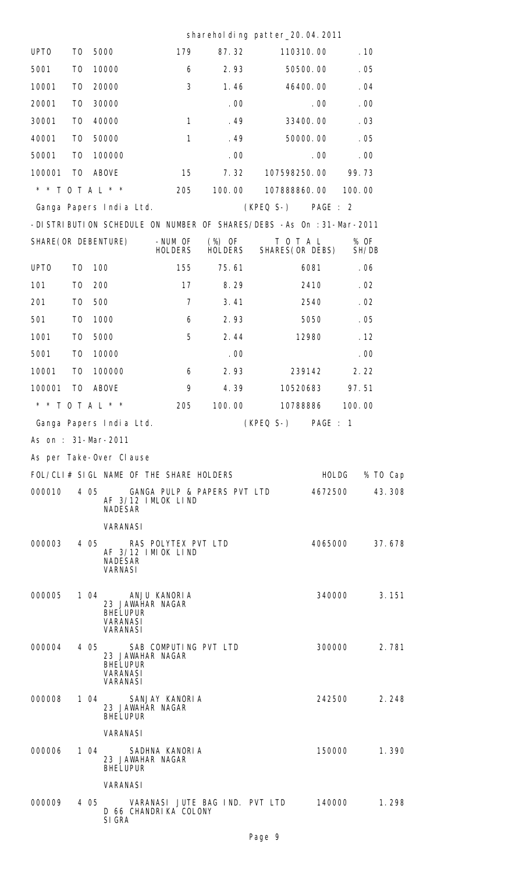## sharehol ding patter\_20.04.2011

| UPT <sub>0</sub>     | T <sub>0</sub> |      | 5000                                                                              | 179                            | 87.32             | 110310.00                                                            |                  | .10           |
|----------------------|----------------|------|-----------------------------------------------------------------------------------|--------------------------------|-------------------|----------------------------------------------------------------------|------------------|---------------|
| 5001                 | T <sub>0</sub> |      | 10000                                                                             | 6                              | 2.93              |                                                                      | 50500.00         | .05           |
| 10001                | T <sub>0</sub> |      | 20000                                                                             | 3                              | 1.46              |                                                                      | 46400.00         | .04           |
| 20001                | T <sub>0</sub> |      | 30000                                                                             |                                | .00               |                                                                      | .00 <sub>1</sub> | .00           |
| 30001                | T <sub>0</sub> |      | 40000                                                                             | $\mathbf{1}$                   | .49               |                                                                      | 33400.00         | .03           |
| 40001                | T <sub>0</sub> |      | 50000                                                                             | $\mathbf{1}$                   | .49               |                                                                      | 50000.00         | .05           |
| 50001                | T <sub>0</sub> |      | 100000                                                                            |                                | .00               |                                                                      | .00 <sub>1</sub> | .00           |
| 100001               | T0             |      | ABOVE                                                                             | 15                             | 7.32              | 107598250.00                                                         |                  | 99.73         |
| * * T O T A L * *    |                |      |                                                                                   | 205                            | 100.00            | 107888860.00                                                         |                  | 100.00        |
|                      |                |      | Ganga Papers India Ltd.                                                           |                                |                   | (KPEQ S-) PAGE : 2                                                   |                  |               |
|                      |                |      |                                                                                   |                                |                   | -DISTRIBUTION SCHEDULE ON NUMBER OF SHARES/DEBS -As On : 31-Mar-2011 |                  |               |
| SHARE (OR DEBENTURE) |                |      |                                                                                   | -NUM OF<br><b>HOLDERS</b>      | (%) OF<br>HOLDERS | TOTAL<br>SHARES (OR DEBS)                                            |                  | % OF<br>SH/DB |
| UPT <sub>0</sub>     | T <sub>0</sub> |      | 100                                                                               | 155                            | 75.61             |                                                                      | 6081             | .06           |
| 101                  | T <sub>0</sub> | 200  |                                                                                   | 17                             | 8.29              |                                                                      | 2410             | .02           |
| 201                  | T <sub>0</sub> | 500  |                                                                                   | $\overline{7}$                 | 3.41              |                                                                      | 2540             | .02           |
| 501                  | T <sub>0</sub> |      | 1000                                                                              | 6                              | 2.93              |                                                                      | 5050             | .05           |
| 1001                 | T <sub>0</sub> |      | 5000                                                                              | 5                              | 2.44              |                                                                      | 12980            | .12           |
| 5001                 | T <sub>0</sub> |      | 10000                                                                             |                                | .00               |                                                                      |                  | .00           |
| 10001                | T <sub>0</sub> |      | 100000                                                                            | 6                              | 2.93              |                                                                      | 239142           | 2.22          |
| 100001               | T <sub>0</sub> |      | <b>ABOVE</b>                                                                      | 9                              | 4.39              | 10520683                                                             |                  | 97.51         |
| * * T O T A L * *    |                |      |                                                                                   | 205                            | 100.00            |                                                                      | 10788886         | 100.00        |
|                      |                |      | Ganga Papers India Ltd.                                                           |                                |                   | (KPEQ S-) PAGE : 1                                                   |                  |               |
| As on: 31-Mar-2011   |                |      |                                                                                   |                                |                   |                                                                      |                  |               |
|                      |                |      | As per Take-Over Clause                                                           |                                |                   |                                                                      |                  |               |
|                      |                |      | FOL/CLI# SIGL NAME OF THE SHARE HOLDERS                                           |                                |                   |                                                                      | <b>HOLDG</b>     | % TO Cap      |
| 000010               |                |      | 4 05<br>AF 3/12 IMLOK LIND<br><b>NADESAR</b>                                      | GANGA PULP & PAPERS PVT LTD    |                   |                                                                      | 4672500          | 43.308        |
|                      |                |      | <b>VARANASI</b>                                                                   |                                |                   |                                                                      |                  |               |
| 000003               |                |      | 4 05<br>AF 3/12 IMIOK LIND<br><b>NADESAR</b>                                      | RAS POLYTEX PVT LTD            |                   |                                                                      | 4065000          | 37.678        |
|                      |                |      | <b>VARNASI</b>                                                                    |                                |                   |                                                                      |                  |               |
| 000005               |                |      | 1 04<br>23 JAWAHAR NAGAR<br><b>BHELUPUR</b><br><b>VARANASI</b><br><b>VARANASI</b> | ANJU KANORIA                   |                   |                                                                      | 340000           | 3.151         |
| 000004               |                |      | 405<br>23 JAWAHAR NAGAR<br><b>BHELUPUR</b><br><b>VARANASI</b><br><b>VARANASI</b>  | SAB COMPUTING PVT LTD          |                   |                                                                      | 300000           | 2.781         |
| 000008               |                |      | 1 04<br>23 JAWAHAR NAGAR<br><b>BHELUPUR</b>                                       | SANJAY KANORIA                 |                   |                                                                      | 242500           | 2.248         |
|                      |                |      | <b>VARANASI</b>                                                                   |                                |                   |                                                                      |                  |               |
| 000006               |                |      | 1 $04$<br>23 JAWAHAR NAGAR<br><b>BHELUPUR</b>                                     | SADHNA KANORIA                 |                   |                                                                      | 150000           | 1.390         |
|                      |                |      | <b>VARANASI</b>                                                                   |                                |                   |                                                                      |                  |               |
| 000009               |                | 4 05 | D 66 CHANDRIKA COLONY<br>SI GRA                                                   | VARANASI JUTE BAG IND. PVT LTD |                   |                                                                      | 140000           | 1.298         |